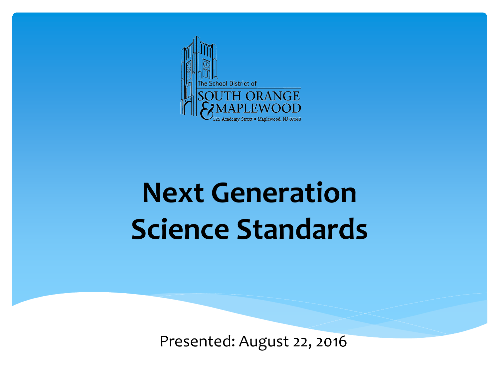

## **Next Generation Science Standards**

Presented: August 22, 2016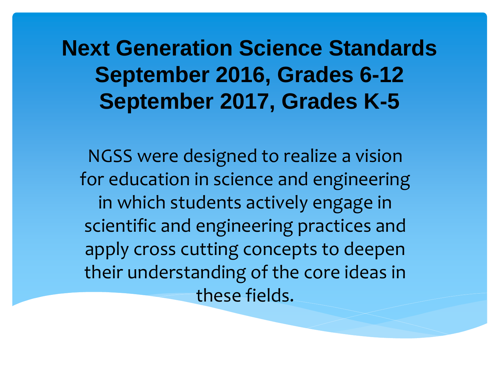**Next Generation Science Standards September 2016, Grades 6-12 September 2017, Grades K-5**

NGSS were designed to realize a vision for education in science and engineering in which students actively engage in scientific and engineering practices and apply cross cutting concepts to deepen their understanding of the core ideas in these fields.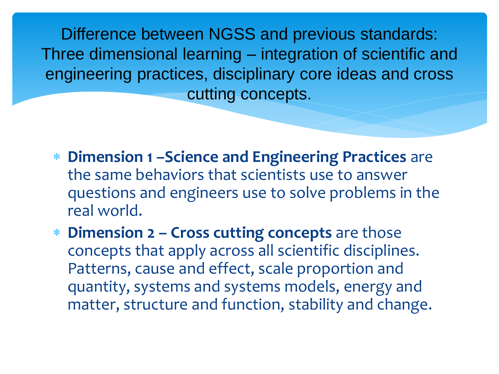Difference between NGSS and previous standards: Three dimensional learning – integration of scientific and engineering practices, disciplinary core ideas and cross cutting concepts.

- **Dimension 1 –Science and Engineering Practices** are the same behaviors that scientists use to answer questions and engineers use to solve problems in the real world.
- **Dimension 2 – Cross cutting concepts** are those concepts that apply across all scientific disciplines. Patterns, cause and effect, scale proportion and quantity, systems and systems models, energy and matter, structure and function, stability and change.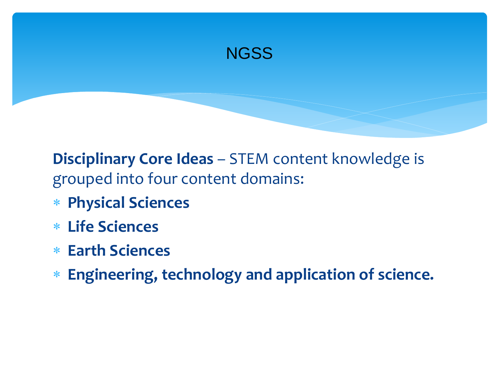

**Disciplinary Core Ideas** – STEM content knowledge is grouped into four content domains:

- **Physical Sciences**
- **Life Sciences**
- **Earth Sciences**
- **Engineering, technology and application of science.**